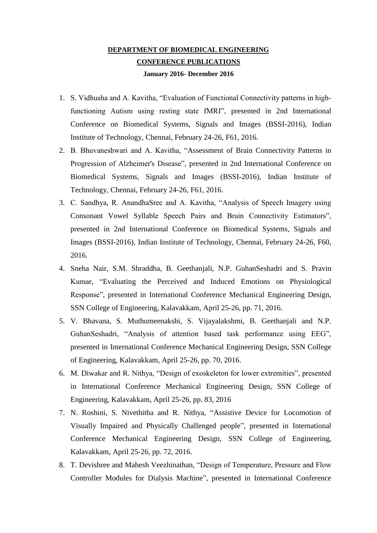## **DEPARTMENT OF BIOMEDICAL ENGINEERING CONFERENCE PUBLICATIONS January 2016- December 2016**

- 1. S. Vidhusha and A. Kavitha, "Evaluation of Functional Connectivity patterns in highfunctioning Autism using resting state fMRI", presented in 2nd International Conference on Biomedical Systems, Signals and Images (BSSI-2016), Indian Institute of Technology, Chennai, February 24-26, F61, 2016.
- 2. B. Bhuvaneshwari and A. Kavitha, "Assessment of Brain Connectivity Patterns in Progression of Alzheimer's Disease", presented in 2nd International Conference on Biomedical Systems, Signals and Images (BSSI-2016), Indian Institute of Technology, Chennai, February 24-26, F61, 2016.
- 3. C. Sandhya, R. AnandhaSree and A. Kavitha, "Analysis of Speech Imagery using Consonant Vowel Syllable Speech Pairs and Brain Connectivity Estimators", presented in 2nd International Conference on Biomedical Systems, Signals and Images (BSSI-2016), Indian Institute of Technology, Chennai, February 24-26, F60, 2016.
- 4. Sneha Nair, S.M. Shraddha, B. Geethanjali, N.P. GuhanSeshadri and S. Pravin Kumar, "Evaluating the Perceived and Induced Emotions on Physiological Response", presented in International Conference Mechanical Engineering Design, SSN College of Engineering, Kalavakkam, April 25-26, pp. 71, 2016.
- 5. V. Bhavana, S. Muthumeenakshi, S. Vijayalakshmi, B. Geethanjali and N.P. GuhanSeshadri, "Analysis of attention based task performance using EEG", presented in International Conference Mechanical Engineering Design, SSN College of Engineering, Kalavakkam, April 25-26, pp. 70, 2016.
- 6. M. Diwakar and R. Nithya, "Design of exoskeleton for lower extremities", presented in International Conference Mechanical Engineering Design, SSN College of Engineering, Kalavakkam, April 25-26, pp. 83, 2016
- 7. N. Roshini, S. Nivethitha and R. Nithya, "Assistive Device for Locomotion of Visually Impaired and Physically Challenged people", presented in International Conference Mechanical Engineering Design, SSN College of Engineering, Kalavakkam, April 25-26, pp. 72, 2016.
- 8. T. Devishree and Mahesh Veezhinathan, "Design of Temperature, Pressure and Flow Controller Modules for Dialysis Machine", presented in International Conference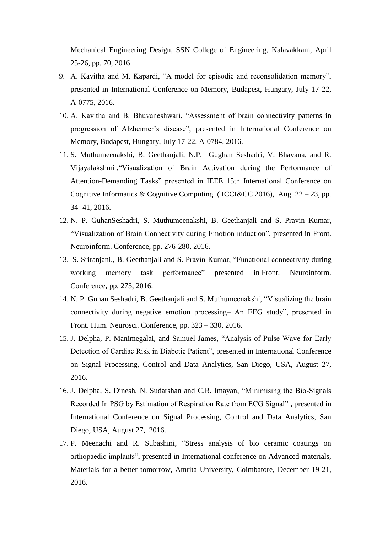Mechanical Engineering Design, SSN College of Engineering, Kalavakkam, April 25-26, pp. 70, 2016

- 9. A. Kavitha and M. Kapardi, "A model for episodic and reconsolidation memory", presented in International Conference on Memory, Budapest, Hungary, July 17-22, A-0775, 2016.
- 10. A. Kavitha and B. Bhuvaneshwari, "Assessment of brain connectivity patterns in progression of Alzheimer's disease", presented in International Conference on Memory, Budapest, Hungary, July 17-22, A-0784, 2016.
- 11. S. Muthumeenakshi, B. Geethanjali, N.P. Gughan Seshadri, V. Bhavana, and R. Vijayalakshmi ,"Visualization of Brain Activation during the Performance of Attention-Demanding Tasks" presented in IEEE 15th International Conference on Cognitive Informatics & Cognitive Computing (ICCI&CC 2016), Aug.  $22 - 23$ , pp. 34 -41, 2016.
- 12. N. P. GuhanSeshadri, S. Muthumeenakshi, B. Geethanjali and S. Pravin Kumar, "Visualization of Brain Connectivity during Emotion induction", presented in Front. Neuroinform. Conference, pp. 276-280, 2016.
- 13. S. Sriranjani., B. Geethanjali and S. Pravin Kumar, "Functional connectivity during working memory task performance" presented in Front. Neuroinform. Conference, pp. 273, 2016.
- 14. N. P. Guhan Seshadri, B. Geethanjali and S. Muthumeenakshi, "Visualizing the brain connectivity during negative emotion processing– An EEG study", presented in Front. Hum. Neurosci. Conference, pp. 323 – 330, 2016.
- 15. J. Delpha, P. Manimegalai, and Samuel James, "Analysis of Pulse Wave for Early Detection of Cardiac Risk in Diabetic Patient", presented in International Conference on Signal Processing, Control and Data Analytics, San Diego, USA, August 27, 2016.
- 16. J. Delpha, S. Dinesh, N. Sudarshan and C.R. Imayan, "Minimising the Bio-Signals Recorded In PSG by Estimation of Respiration Rate from ECG Signal" , presented in International Conference on Signal Processing, Control and Data Analytics, San Diego, USA, August 27, 2016.
- 17. P. Meenachi and R. Subashini, "Stress analysis of bio ceramic coatings on orthopaedic implants", presented in International conference on Advanced materials, Materials for a better tomorrow, Amrita University, Coimbatore, December 19-21, 2016.